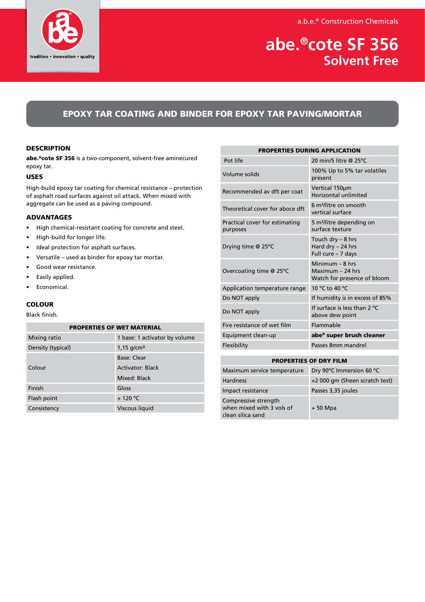a.b.e.® Construction Chemicals



# **abe.®cote SF 356 Solvent Free**

## EPOXY TAR COATING AND BINDER FOR EPOXY TAR PAVING/MORTAR

## **DESCRIPTION**

abe.®cote SF 356 is a two-component, solvent-free aminecured epoxy tar.

## USES

High-build epoxy tar coating for chemical resistance – protection of asphalt road surfaces against oil attack. When mixed with aggregate can be used as a paving compound.

## ADVANTAGES

- High chemical-resistant coating for concrete and steel.
- High-build for longer life.
- Ideal protection for asphalt surfaces.
- Versatile used as binder for epoxy tar mortar.
- Good wear resistance.
- Easily applied.
- Economical.

## **COLOUR**

## Black finish.

## PROPERTIES OF WET MATERIAL

| Mixing ratio      | 1 base: 1 activator by volume |
|-------------------|-------------------------------|
| Density (typical) | $1,15$ g/cm <sup>3</sup>      |
| Colour            | Base: Clear                   |
|                   | Activator: Black              |
|                   | Mixed: Black                  |
| Finish            | Gloss                         |
| Flash point       | $+120 °C$                     |
| Consistency       | Viscous liquid                |

| <b>PROPERTIES DURING APPLICATION</b>       |                                                                        |  |
|--------------------------------------------|------------------------------------------------------------------------|--|
| Pot life                                   | 20 min/5 litre @ 25°C                                                  |  |
| Volume solids                              | 100% Up to 5% tar volatiles<br>present                                 |  |
| Recommended av dft per coat                | Vertical 150um<br>Horizontal unlimited                                 |  |
| Theoretical cover for aboce dft            | 6 m <sup>2</sup> /litre on smooth<br>vertical surface                  |  |
| Practical cover for estimating<br>purposes | 5 m <sup>2</sup> /litre depending on<br>surface texture                |  |
| Drying time @ 25°C                         | Touch dry - 8 hrs<br>Hard dry - 24 hrs<br>Full cure - 7 days           |  |
| Overcoating time @ 25°C                    | Minimum $-$ 8 hrs<br>$Maximum - 24 hrs$<br>Watch for presence of bloom |  |
| Application temperature range              | 10 °C to 40 °C                                                         |  |
| Do NOT apply                               | If humidity is in excess of 85%                                        |  |
| Do NOT apply                               | If surface is less than $2^{\circ}C$<br>above dew point                |  |
| Fire resistance of wet film                | Flammable                                                              |  |
| Equipment clean-up                         | abe® super brush cleaner                                               |  |
| Flexibility                                | Passes 8mm mandrel                                                     |  |

| <b>PROPERTIES OF DRY FILM</b>                                          |                                |  |
|------------------------------------------------------------------------|--------------------------------|--|
| Maximum service temperature                                            | Dry 90°C Immersion 60 °C       |  |
| <b>Hardness</b>                                                        | +2 000 gm (Sheen scratch test) |  |
| Impact resistance                                                      | Passes 3,35 joules             |  |
| Compressive strength<br>when mixed with 3 vols of<br>clean silica sand | $+50$ Mpa                      |  |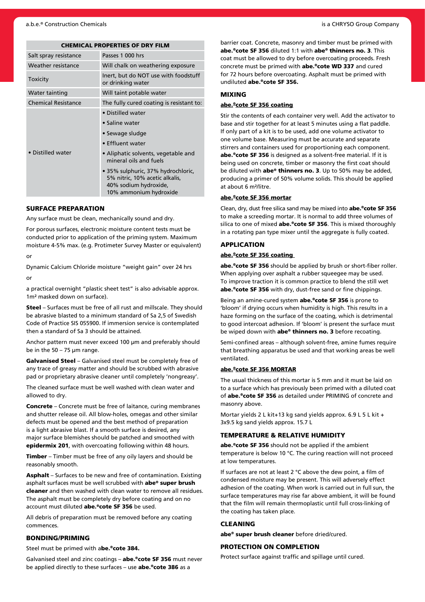|  | <b>CHEMICAL PROPERTIES OF DRY FILM</b> |  |  |
|--|----------------------------------------|--|--|
|--|----------------------------------------|--|--|

| Salt spray resistance      | Passes 1 000 hrs                                                                                                        |  |
|----------------------------|-------------------------------------------------------------------------------------------------------------------------|--|
| Weather resistance         | Will chalk on weathering exposure                                                                                       |  |
| Toxicity                   | Inert, but do NOT use with foodstuff<br>or drinking water                                                               |  |
| Water tainting             | Will taint potable water                                                                                                |  |
| <b>Chemical Resistance</b> | The fully cured coating is resistant to:                                                                                |  |
| • Distilled water          | • Distilled water                                                                                                       |  |
|                            | • Saline water                                                                                                          |  |
|                            | • Sewage sludge                                                                                                         |  |
|                            | • Effluent water                                                                                                        |  |
|                            | • Aliphatic solvents, vegetable and<br>mineral oils and fuels                                                           |  |
|                            | • 35% sulphuric, 37% hydrochloric,<br>5% nitric, 10% acetic alkalis,<br>40% sodium hydroxide,<br>10% ammonium hydroxide |  |

#### SURFACE PREPARATION

Any surface must be clean, mechanically sound and dry.

For porous surfaces, electronic moisture content tests must be conducted prior to application of the priming system. Maximum moisture 4-5% max. (e.g. Protimeter Survey Master or equivalent)

or

Dynamic Calcium Chloride moisture "weight gain" over 24 hrs or

a practical overnight "plastic sheet test" is also advisable approx. 1m² masked down on surface).

Steel – Surfaces must be free of all rust and millscale. They should be abrasive blasted to a minimum standard of Sa 2,5 of Swedish Code of Practice SIS 055900. If immersion service is contemplated then a standard of Sa 3 should be attained.

Anchor pattern must never exceed 100 μm and preferably should be in the 50 – 75 μm range.

Galvanised Steel - Galvanised steel must be completely free of any trace of greasy matter and should be scrubbed with abrasive pad or proprietary abrasive cleaner until completely 'nongreasy'.

The cleaned surface must be well washed with clean water and allowed to dry.

Concrete – Concrete must be free of laitance, curing membranes and shutter release oil. All blow-holes, omegas and other similar defects must be opened and the best method of preparation is a light abrasive blast. If a smooth surface is desired, any major surface blemishes should be patched and smoothed with epidermix 201, with overcoating following within 48 hours.

Timber – Timber must be free of any oily layers and should be reasonably smooth.

Asphalt – Surfaces to be new and free of contamination. Existing asphalt surfaces must be well scrubbed with abe® super brush cleaner and then washed with clean water to remove all residues. The asphalt must be completely dry before coating and on no account must diluted abe.®cote SF 356 be used.

All debris of preparation must be removed before any coating commences.

#### BONDING/PRIMING

Steel must be primed with abe.<sup>®</sup>cote 384.

Galvanised steel and zinc coatings - abe.®cote SF 356 must never be applied directly to these surfaces – use abe. <sup>e</sup>cote 386 as a

barrier coat. Concrete, masonry and timber must be primed with abe.®cote SF 356 diluted 1:1 with abe® thinners no. 3. This coat must be allowed to dry before overcoating proceeds. Fresh concrete must be primed with abe.®cote WD 337 and cured for 72 hours before overcoating. Asphalt must be primed with undiluted abe.®cote SF 356.

## MIXING

## abe.®cote SF 356 coating

Stir the contents of each container very well. Add the activator to base and stir together for at least 5 minutes using a flat paddle. If only part of a kit is to be used, add one volume activator to one volume base. Measuring must be accurate and separate stirrers and containers used for proportioning each component. abe.®cote SF 356 is designed as a solvent-free material. If it is being used on concrete, timber or masonry the first coat should be diluted with **abe® thinners no. 3**. Up to 50% may be added, producing a primer of 50% volume solids. This should be applied at about 6 m²/litre.

#### abe.®cote SF 356 mortar

Clean, dry, dust free silica sand may be mixed into abe.®cote SF 356 to make a screeding mortar. It is normal to add three volumes of silica to one of mixed abe.®cote SF 356. This is mixed thoroughly in a rotating pan type mixer until the aggregate is fully coated.

#### APPLICATION

#### abe.<sup>®</sup>cote SF 356 coating

abe.<sup>®</sup>cote SF 356 should be applied by brush or short-fiber roller. When applying over asphalt a rubber squeegee may be used. To improve traction it is common practice to blend the still wet abe.<sup>®</sup>cote SF 356 with dry, dust-free sand or fine chippings.

Being an amine-cured system abe. <sup>®</sup>cote SF 356 is prone to 'bloom' if drying occurs when humidity is high. This results in a haze forming on the surface of the coating, which is detrimental to good intercoat adhesion. If 'bloom' is present the surface must be wiped down with abe® thinners no. 3 before recoating.

Semi-confined areas – although solvent-free, amine fumes require that breathing apparatus be used and that working areas be well ventilated.

#### abe.®cote SF 356 MORTAR

The usual thickness of this mortar is 5 mm and it must be laid on to a surface which has previously been primed with a diluted coat of abe.®cote SF 356 as detailed under PRIMING of concrete and masonry above.

Mortar yields 2 L kit+13 kg sand yields approx. 6.9 L 5 L kit + 3x9.5 kg sand yields approx. 15.7 L

### TEMPERATURE & RELATIVE HUMIDITY

abe.<sup>®</sup>cote SF 356 should not be applied if the ambient temperature is below 10 °C. The curing reaction will not proceed at low temperatures.

If surfaces are not at least 2 °C above the dew point, a film of condensed moisture may be present. This will adversely effect adhesion of the coating. When work is carried out in full sun, the surface temperatures may rise far above ambient, it will be found that the film will remain thermoplastic until full cross-linking of the coating has taken place.

#### **CLEANING**

abe<sup>®</sup> super brush cleaner before dried/cured.

## PROTECTION ON COMPLETION

Protect surface against traffic and spillage until cured.